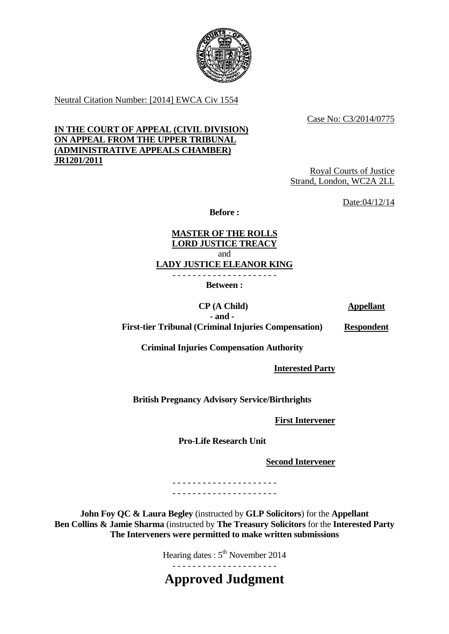

Neutral Citation Number: [2014] EWCA Civ 1554

Case No: C3/2014/0775

#### **IN THE COURT OF APPEAL (CIVIL DIVISION) ON APPEAL FROM THE UPPER TRIBUNAL (ADMINISTRATIVE APPEALS CHAMBER) JR1201/2011**

Royal Courts of Justice Strand, London, WC2A 2LL

Date:04/12/14

**Before :** 

**MASTER OF THE ROLLS LORD JUSTICE TREACY**  and **LADY JUSTICE ELEANOR KING** 

> - - - - - - - - - - - - - - - - - - - - - **Between :**

> > **CP (A Child)**

**Appellant** 

**- and - First-tier Tribunal (Criminal Injuries Compensation)**  **Respondent**

**Criminal Injuries Compensation Authority** 

**Interested Party** 

**British Pregnancy Advisory Service/Birthrights**

 **First Intervener** 

**Pro-Life Research Unit** 

**Second Intervener** 

- - - - - - - - - - - - - - - - - - - - - - - - - - - - - - - - - - - - - - - - - -

 **Solicitors**) for the Appellant **Ben Collins & Jamie Sharma** (instructed by **The Treasury Solicitors** for the **Interested Party The Interveners were permitted to make written submissions**

Hearing dates :  $5<sup>th</sup>$  November 2014

- - - - - - - - - - - - - - - - - - - - - **Approved Judgment**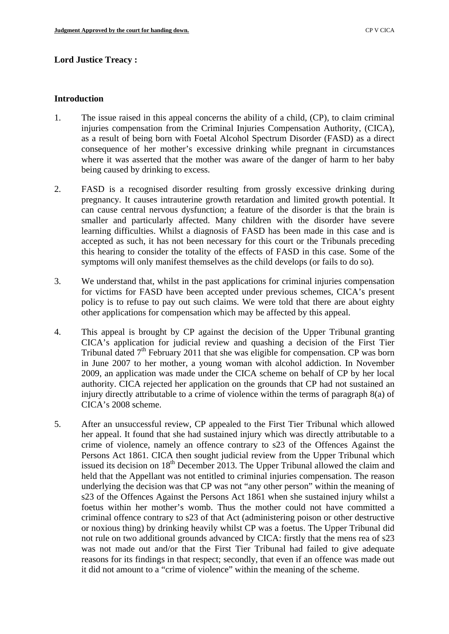# **Lord Justice Treacy : Introduction**

- 1. The issue raised in this appeal concerns the ability of a child, (CP), to claim criminal injuries compensation from the Criminal Injuries Compensation Authority, (CICA), as a result of being born with Foetal Alcohol Spectrum Disorder (FASD) as a direct consequence of her mother's excessive drinking while pregnant in circumstances where it was asserted that the mother was aware of the danger of harm to her baby being caused by drinking to excess.
- 2. FASD is a recognised disorder resulting from grossly excessive drinking during pregnancy. It causes intrauterine growth retardation and limited growth potential. It can cause central nervous dysfunction; a feature of the disorder is that the brain is smaller and particularly affected. Many children with the disorder have severe learning difficulties. Whilst a diagnosis of FASD has been made in this case and is accepted as such, it has not been necessary for this court or the Tribunals preceding this hearing to consider the totality of the effects of FASD in this case. Some of the symptoms will only manifest themselves as the child develops (or fails to do so).
- 3. We understand that, whilst in the past applications for criminal injuries compensation for victims for FASD have been accepted under previous schemes, CICA's present policy is to refuse to pay out such claims. We were told that there are about eighty other applications for compensation which may be affected by this appeal.
- 4. This appeal is brought by CP against the decision of the Upper Tribunal granting CICA's application for judicial review and quashing a decision of the First Tier Tribunal dated  $7<sup>th</sup>$  February 2011 that she was eligible for compensation. CP was born in June 2007 to her mother, a young woman with alcohol addiction. In November 2009, an application was made under the CICA scheme on behalf of CP by her local authority. CICA rejected her application on the grounds that CP had not sustained an injury directly attributable to a crime of violence within the terms of paragraph 8(a) of CICA's 2008 scheme.
- 5. After an unsuccessful review, CP appealed to the First Tier Tribunal which allowed her appeal. It found that she had sustained injury which was directly attributable to a crime of violence, namely an offence contrary to s23 of the Offences Against the Persons Act 1861. CICA then sought judicial review from the Upper Tribunal which issued its decision on  $18<sup>th</sup>$  December 2013. The Upper Tribunal allowed the claim and held that the Appellant was not entitled to criminal injuries compensation. The reason underlying the decision was that CP was not "any other person" within the meaning of s23 of the Offences Against the Persons Act 1861 when she sustained injury whilst a foetus within her mother's womb. Thus the mother could not have committed a criminal offence contrary to s23 of that Act (administering poison or other destructive or noxious thing) by drinking heavily whilst CP was a foetus. The Upper Tribunal did not rule on two additional grounds advanced by CICA: firstly that the mens rea of s23 was not made out and/or that the First Tier Tribunal had failed to give adequate reasons for its findings in that respect; secondly, that even if an offence was made out it did not amount to a "crime of violence" within the meaning of the scheme.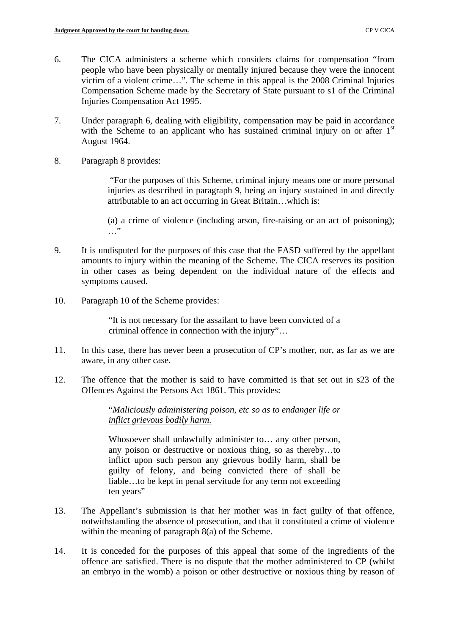- 6. The CICA administers a scheme which considers claims for compensation "from people who have been physically or mentally injured because they were the innocent victim of a violent crime…". The scheme in this appeal is the 2008 Criminal Injuries Compensation Scheme made by the Secretary of State pursuant to s1 of the Criminal Injuries Compensation Act 1995.
- 7. Under paragraph 6, dealing with eligibility, compensation may be paid in accordance with the Scheme to an applicant who has sustained criminal injury on or after 1<sup>st</sup> August 1964.
- 8. Paragraph 8 provides:

"For the purposes of this Scheme, criminal injury means one or more personal injuries as described in paragraph 9, being an injury sustained in and directly attributable to an act occurring in Great Britain…which is:

(a) a crime of violence (including arson, fire-raising or an act of poisoning);  $\ldots$ "

- 9. It is undisputed for the purposes of this case that the FASD suffered by the appellant amounts to injury within the meaning of the Scheme. The CICA reserves its position in other cases as being dependent on the individual nature of the effects and symptoms caused.
- 10. Paragraph 10 of the Scheme provides:

"It is not necessary for the assailant to have been convicted of a criminal offence in connection with the injury"…

- 11. In this case, there has never been a prosecution of CP's mother, nor, as far as we are aware, in any other case.
- 12. The offence that the mother is said to have committed is that set out in s23 of the Offences Against the Persons Act 1861. This provides:

 *inflict grievous bodily harm.* "*Maliciously administering poison, etc so as to endanger life or* 

Whosoever shall unlawfully administer to… any other person, any poison or destructive or noxious thing, so as thereby…to inflict upon such person any grievous bodily harm, shall be guilty of felony, and being convicted there of shall be liable...to be kept in penal servitude for any term not exceeding ten years"

- 13. The Appellant's submission is that her mother was in fact guilty of that offence, notwithstanding the absence of prosecution, and that it constituted a crime of violence within the meaning of paragraph 8(a) of the Scheme.
- 14. It is conceded for the purposes of this appeal that some of the ingredients of the offence are satisfied. There is no dispute that the mother administered to CP (whilst an embryo in the womb) a poison or other destructive or noxious thing by reason of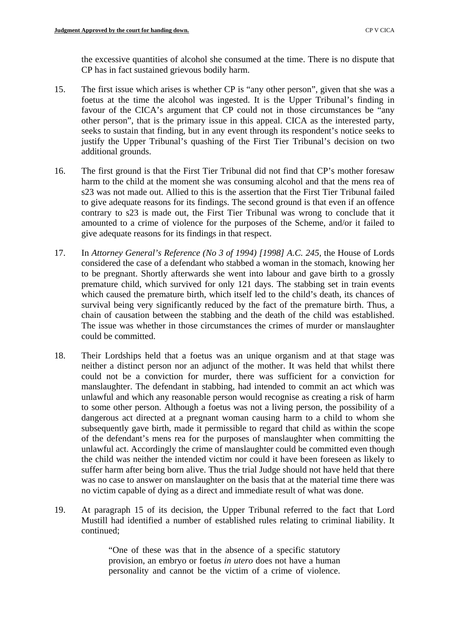the excessive quantities of alcohol she consumed at the time. There is no dispute that CP has in fact sustained grievous bodily harm.

- 15. The first issue which arises is whether CP is "any other person", given that she was a foetus at the time the alcohol was ingested. It is the Upper Tribunal's finding in favour of the CICA's argument that CP could not in those circumstances be "any other person", that is the primary issue in this appeal. CICA as the interested party, seeks to sustain that finding, but in any event through its respondent's notice seeks to justify the Upper Tribunal's quashing of the First Tier Tribunal's decision on two additional grounds.
- 16. The first ground is that the First Tier Tribunal did not find that CP's mother foresaw harm to the child at the moment she was consuming alcohol and that the mens rea of s23 was not made out. Allied to this is the assertion that the First Tier Tribunal failed to give adequate reasons for its findings. The second ground is that even if an offence contrary to s23 is made out, the First Tier Tribunal was wrong to conclude that it amounted to a crime of violence for the purposes of the Scheme, and/or it failed to give adequate reasons for its findings in that respect.
- 17. In *Attorney General's Reference (No 3 of 1994) [1998] A.C. 245*, the House of Lords considered the case of a defendant who stabbed a woman in the stomach, knowing her to be pregnant. Shortly afterwards she went into labour and gave birth to a grossly premature child, which survived for only 121 days. The stabbing set in train events which caused the premature birth, which itself led to the child's death, its chances of survival being very significantly reduced by the fact of the premature birth. Thus, a chain of causation between the stabbing and the death of the child was established. The issue was whether in those circumstances the crimes of murder or manslaughter could be committed.
- 18. Their Lordships held that a foetus was an unique organism and at that stage was neither a distinct person nor an adjunct of the mother. It was held that whilst there could not be a conviction for murder, there was sufficient for a conviction for manslaughter. The defendant in stabbing, had intended to commit an act which was unlawful and which any reasonable person would recognise as creating a risk of harm to some other person. Although a foetus was not a living person, the possibility of a dangerous act directed at a pregnant woman causing harm to a child to whom she subsequently gave birth, made it permissible to regard that child as within the scope of the defendant's mens rea for the purposes of manslaughter when committing the unlawful act. Accordingly the crime of manslaughter could be committed even though the child was neither the intended victim nor could it have been foreseen as likely to suffer harm after being born alive. Thus the trial Judge should not have held that there was no case to answer on manslaughter on the basis that at the material time there was no victim capable of dying as a direct and immediate result of what was done.
- 19. At paragraph 15 of its decision, the Upper Tribunal referred to the fact that Lord Mustill had identified a number of established rules relating to criminal liability. It continued;

"One of these was that in the absence of a specific statutory provision, an embryo or foetus *in utero* does not have a human personality and cannot be the victim of a crime of violence.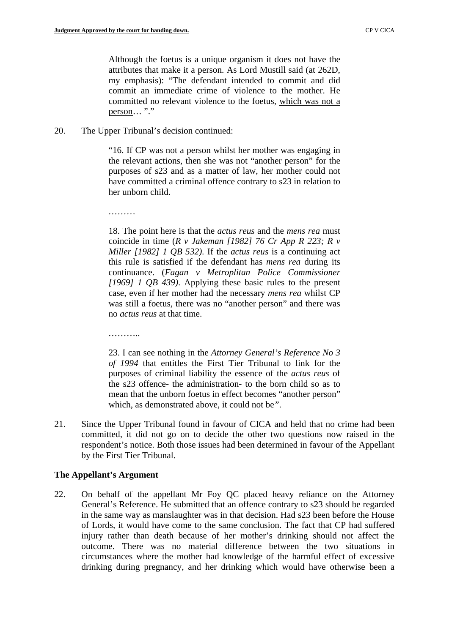Although the foetus is a unique organism it does not have the attributes that make it a person. As Lord Mustill said (at 262D, my emphasis): "The defendant intended to commit and did commit an immediate crime of violence to the mother. He committed no relevant violence to the foetus, which was not a person… "."

20. The Upper Tribunal's decision continued:

"16. If CP was not a person whilst her mother was engaging in the relevant actions, then she was not "another person" for the purposes of s23 and as a matter of law, her mother could not have committed a criminal offence contrary to s23 in relation to her unborn child.

………

18. The point here is that the *actus reus* and the *mens rea* must coincide in time (*R v Jakeman [1982] 76 Cr App R 223; R v Miller [1982] 1 QB 532)*. If the *actus reus* is a continuing act this rule is satisfied if the defendant has *mens rea* during its continuance. (*Fagan v Metroplitan Police Commissioner [1969] 1 QB 439)*. Applying these basic rules to the present case, even if her mother had the necessary *mens rea* whilst CP was still a foetus, there was no "another person" and there was no *actus reus* at that time.

………

23. I can see nothing in the *Attorney General's Reference No 3 of 1994* that entitles the First Tier Tribunal to link for the purposes of criminal liability the essence of the *actus reus* of the s23 offence- the administration- to the born child so as to mean that the unborn foetus in effect becomes "another person" which, as demonstrated above, it could not be*"*.

21. Since the Upper Tribunal found in favour of CICA and held that no crime had been committed, it did not go on to decide the other two questions now raised in the respondent's notice. Both those issues had been determined in favour of the Appellant by the First Tier Tribunal.

#### **The Appellant's Argument**

22. On behalf of the appellant Mr Foy QC placed heavy reliance on the Attorney General's Reference. He submitted that an offence contrary to s23 should be regarded in the same way as manslaughter was in that decision. Had s23 been before the House of Lords, it would have come to the same conclusion. The fact that CP had suffered injury rather than death because of her mother's drinking should not affect the outcome. There was no material difference between the two situations in circumstances where the mother had knowledge of the harmful effect of excessive drinking during pregnancy, and her drinking which would have otherwise been a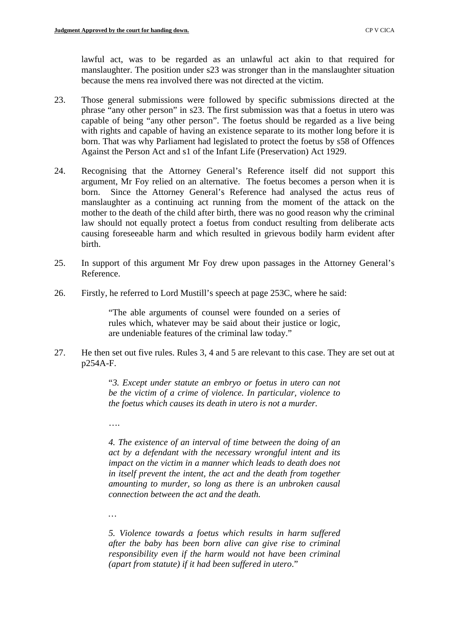lawful act, was to be regarded as an unlawful act akin to that required for manslaughter. The position under s23 was stronger than in the manslaughter situation because the mens rea involved there was not directed at the victim.

- 23. Those general submissions were followed by specific submissions directed at the phrase "any other person" in s23. The first submission was that a foetus in utero was capable of being "any other person". The foetus should be regarded as a live being with rights and capable of having an existence separate to its mother long before it is born. That was why Parliament had legislated to protect the foetus by s58 of Offences Against the Person Act and s1 of the Infant Life (Preservation) Act 1929.
- 24. Recognising that the Attorney General's Reference itself did not support this argument, Mr Foy relied on an alternative. The foetus becomes a person when it is born. Since the Attorney General's Reference had analysed the actus reus of manslaughter as a continuing act running from the moment of the attack on the mother to the death of the child after birth, there was no good reason why the criminal law should not equally protect a foetus from conduct resulting from deliberate acts causing foreseeable harm and which resulted in grievous bodily harm evident after birth.
- 25. In support of this argument Mr Foy drew upon passages in the Attorney General's Reference.
- 26. Firstly, he referred to Lord Mustill's speech at page 253C, where he said:

"The able arguments of counsel were founded on a series of rules which, whatever may be said about their justice or logic, are undeniable features of the criminal law today."

27. He then set out five rules. Rules 3, 4 and 5 are relevant to this case. They are set out at p254A-F.

> "*3. Except under statute an embryo or foetus in utero can not be the victim of a crime of violence. In particular, violence to the foetus which causes its death in utero is not a murder.*

….

*4. The existence of an interval of time between the doing of an act by a defendant with the necessary wrongful intent and its impact on the victim in a manner which leads to death does not in itself prevent the intent, the act and the death from together amounting to murder, so long as there is an unbroken causal connection between the act and the death.* 

*…* 

*5. Violence towards a foetus which results in harm suffered after the baby has been born alive can give rise to criminal responsibility even if the harm would not have been criminal (apart from statute) if it had been suffered in utero*."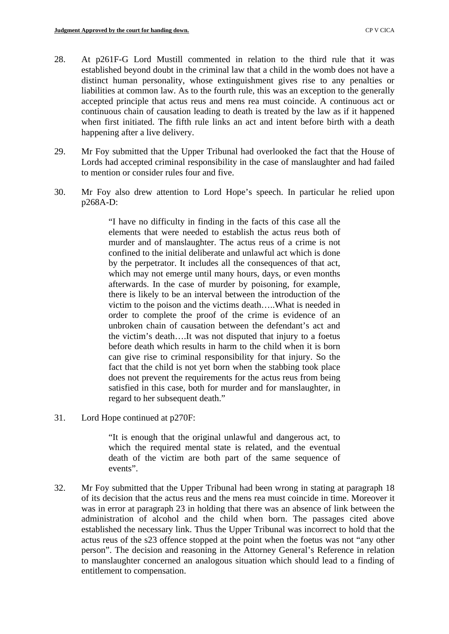- 28. At p261F-G Lord Mustill commented in relation to the third rule that it was established beyond doubt in the criminal law that a child in the womb does not have a distinct human personality, whose extinguishment gives rise to any penalties or liabilities at common law. As to the fourth rule, this was an exception to the generally accepted principle that actus reus and mens rea must coincide. A continuous act or continuous chain of causation leading to death is treated by the law as if it happened when first initiated. The fifth rule links an act and intent before birth with a death happening after a live delivery.
- 29. Mr Foy submitted that the Upper Tribunal had overlooked the fact that the House of Lords had accepted criminal responsibility in the case of manslaughter and had failed to mention or consider rules four and five.
- 30. Mr Foy also drew attention to Lord Hope's speech. In particular he relied upon p268A-D:

"I have no difficulty in finding in the facts of this case all the elements that were needed to establish the actus reus both of murder and of manslaughter. The actus reus of a crime is not confined to the initial deliberate and unlawful act which is done by the perpetrator. It includes all the consequences of that act, which may not emerge until many hours, days, or even months afterwards. In the case of murder by poisoning, for example, there is likely to be an interval between the introduction of the victim to the poison and the victims death…..What is needed in order to complete the proof of the crime is evidence of an unbroken chain of causation between the defendant's act and the victim's death….It was not disputed that injury to a foetus before death which results in harm to the child when it is born can give rise to criminal responsibility for that injury. So the fact that the child is not yet born when the stabbing took place does not prevent the requirements for the actus reus from being satisfied in this case, both for murder and for manslaughter, in regard to her subsequent death."

31. Lord Hope continued at p270F:

"It is enough that the original unlawful and dangerous act, to which the required mental state is related, and the eventual death of the victim are both part of the same sequence of events".

32. Mr Foy submitted that the Upper Tribunal had been wrong in stating at paragraph 18 of its decision that the actus reus and the mens rea must coincide in time. Moreover it was in error at paragraph 23 in holding that there was an absence of link between the administration of alcohol and the child when born. The passages cited above established the necessary link. Thus the Upper Tribunal was incorrect to hold that the actus reus of the s23 offence stopped at the point when the foetus was not "any other person". The decision and reasoning in the Attorney General's Reference in relation to manslaughter concerned an analogous situation which should lead to a finding of entitlement to compensation.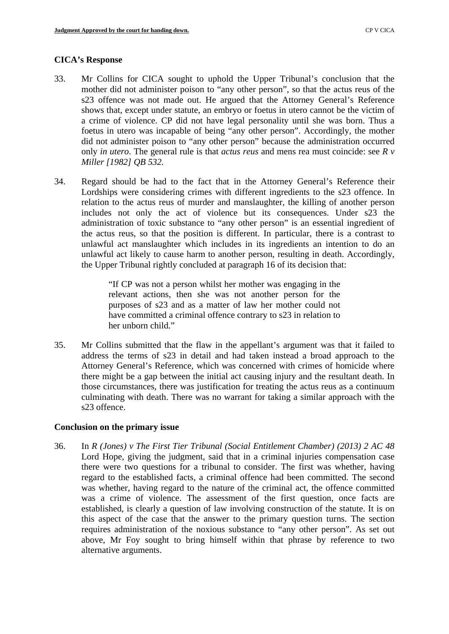#### **CICA's Response**

- 33. Mr Collins for CICA sought to uphold the Upper Tribunal's conclusion that the mother did not administer poison to "any other person", so that the actus reus of the s23 offence was not made out. He argued that the Attorney General's Reference shows that, except under statute, an embryo or foetus in utero cannot be the victim of a crime of violence. CP did not have legal personality until she was born. Thus a foetus in utero was incapable of being "any other person". Accordingly, the mother did not administer poison to "any other person" because the administration occurred only *in utero*. The general rule is that *actus reus* and mens rea must coincide: see *R v Miller [1982] QB 532.*
- 34. Regard should be had to the fact that in the Attorney General's Reference their Lordships were considering crimes with different ingredients to the s23 offence. In relation to the actus reus of murder and manslaughter, the killing of another person includes not only the act of violence but its consequences. Under s23 the administration of toxic substance to "any other person" is an essential ingredient of the actus reus, so that the position is different. In particular, there is a contrast to unlawful act manslaughter which includes in its ingredients an intention to do an unlawful act likely to cause harm to another person, resulting in death. Accordingly, the Upper Tribunal rightly concluded at paragraph 16 of its decision that:

"If CP was not a person whilst her mother was engaging in the relevant actions, then she was not another person for the purposes of s23 and as a matter of law her mother could not have committed a criminal offence contrary to s23 in relation to her unborn child."

35. Mr Collins submitted that the flaw in the appellant's argument was that it failed to address the terms of s23 in detail and had taken instead a broad approach to the Attorney General's Reference, which was concerned with crimes of homicide where there might be a gap between the initial act causing injury and the resultant death. In those circumstances, there was justification for treating the actus reus as a continuum culminating with death. There was no warrant for taking a similar approach with the s23 offence.

#### **Conclusion on the primary issue**

36. In *R (Jones) v The First Tier Tribunal (Social Entitlement Chamber) (2013) 2 AC 48*  Lord Hope, giving the judgment, said that in a criminal injuries compensation case there were two questions for a tribunal to consider. The first was whether, having regard to the established facts, a criminal offence had been committed. The second was whether, having regard to the nature of the criminal act, the offence committed was a crime of violence. The assessment of the first question, once facts are established, is clearly a question of law involving construction of the statute. It is on this aspect of the case that the answer to the primary question turns. The section requires administration of the noxious substance to "any other person". As set out above, Mr Foy sought to bring himself within that phrase by reference to two alternative arguments.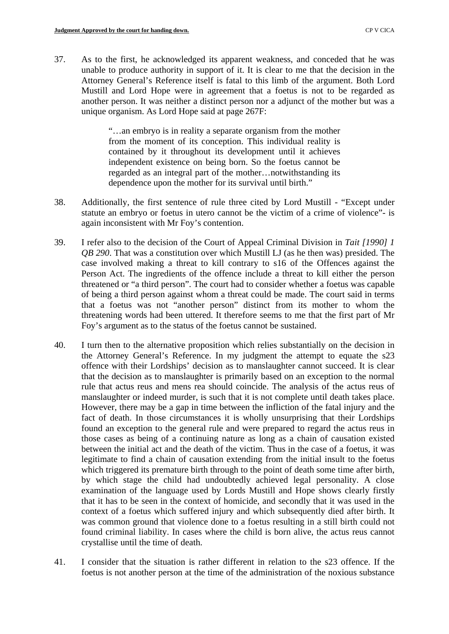37. As to the first, he acknowledged its apparent weakness, and conceded that he was unable to produce authority in support of it. It is clear to me that the decision in the Attorney General's Reference itself is fatal to this limb of the argument. Both Lord Mustill and Lord Hope were in agreement that a foetus is not to be regarded as another person. It was neither a distinct person nor a adjunct of the mother but was a unique organism. As Lord Hope said at page 267F:

> "…an embryo is in reality a separate organism from the mother from the moment of its conception. This individual reality is contained by it throughout its development until it achieves independent existence on being born. So the foetus cannot be regarded as an integral part of the mother…notwithstanding its dependence upon the mother for its survival until birth."

- 38. Additionally, the first sentence of rule three cited by Lord Mustill "Except under statute an embryo or foetus in utero cannot be the victim of a crime of violence"- is again inconsistent with Mr Foy's contention.
- 39. I refer also to the decision of the Court of Appeal Criminal Division in *Tait [1990] 1 QB 290*. That was a constitution over which Mustill LJ (as he then was) presided. The case involved making a threat to kill contrary to s16 of the Offences against the Person Act. The ingredients of the offence include a threat to kill either the person threatened or "a third person". The court had to consider whether a foetus was capable of being a third person against whom a threat could be made. The court said in terms that a foetus was not "another person" distinct from its mother to whom the threatening words had been uttered. It therefore seems to me that the first part of Mr Foy's argument as to the status of the foetus cannot be sustained.
- 40. I turn then to the alternative proposition which relies substantially on the decision in the Attorney General's Reference. In my judgment the attempt to equate the s23 offence with their Lordships' decision as to manslaughter cannot succeed. It is clear that the decision as to manslaughter is primarily based on an exception to the normal rule that actus reus and mens rea should coincide. The analysis of the actus reus of manslaughter or indeed murder, is such that it is not complete until death takes place. However, there may be a gap in time between the infliction of the fatal injury and the fact of death. In those circumstances it is wholly unsurprising that their Lordships found an exception to the general rule and were prepared to regard the actus reus in those cases as being of a continuing nature as long as a chain of causation existed between the initial act and the death of the victim. Thus in the case of a foetus, it was legitimate to find a chain of causation extending from the initial insult to the foetus which triggered its premature birth through to the point of death some time after birth, by which stage the child had undoubtedly achieved legal personality. A close examination of the language used by Lords Mustill and Hope shows clearly firstly that it has to be seen in the context of homicide, and secondly that it was used in the context of a foetus which suffered injury and which subsequently died after birth. It was common ground that violence done to a foetus resulting in a still birth could not found criminal liability. In cases where the child is born alive, the actus reus cannot crystallise until the time of death.
- 41. I consider that the situation is rather different in relation to the s23 offence. If the foetus is not another person at the time of the administration of the noxious substance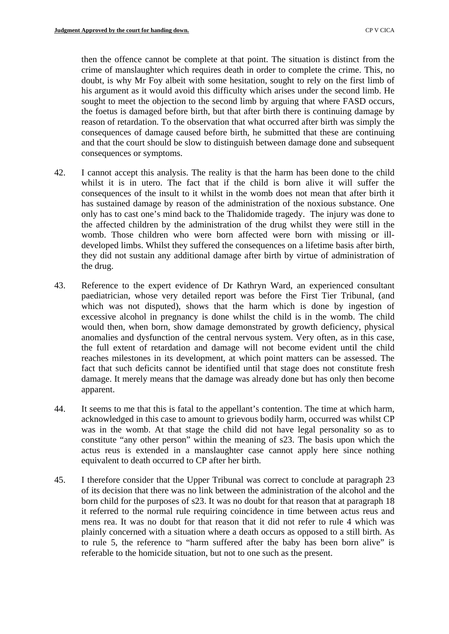then the offence cannot be complete at that point. The situation is distinct from the crime of manslaughter which requires death in order to complete the crime. This, no doubt, is why Mr Foy albeit with some hesitation, sought to rely on the first limb of his argument as it would avoid this difficulty which arises under the second limb. He sought to meet the objection to the second limb by arguing that where FASD occurs, the foetus is damaged before birth, but that after birth there is continuing damage by reason of retardation. To the observation that what occurred after birth was simply the consequences of damage caused before birth, he submitted that these are continuing and that the court should be slow to distinguish between damage done and subsequent consequences or symptoms.

- 42. I cannot accept this analysis. The reality is that the harm has been done to the child whilst it is in utero. The fact that if the child is born alive it will suffer the consequences of the insult to it whilst in the womb does not mean that after birth it has sustained damage by reason of the administration of the noxious substance. One only has to cast one's mind back to the Thalidomide tragedy. The injury was done to the affected children by the administration of the drug whilst they were still in the womb. Those children who were born affected were born with missing or illdeveloped limbs. Whilst they suffered the consequences on a lifetime basis after birth, they did not sustain any additional damage after birth by virtue of administration of the drug.
- 43. Reference to the expert evidence of Dr Kathryn Ward, an experienced consultant paediatrician, whose very detailed report was before the First Tier Tribunal, (and which was not disputed), shows that the harm which is done by ingestion of excessive alcohol in pregnancy is done whilst the child is in the womb. The child would then, when born, show damage demonstrated by growth deficiency, physical anomalies and dysfunction of the central nervous system. Very often, as in this case, the full extent of retardation and damage will not become evident until the child reaches milestones in its development, at which point matters can be assessed. The fact that such deficits cannot be identified until that stage does not constitute fresh damage. It merely means that the damage was already done but has only then become apparent.
- 44. It seems to me that this is fatal to the appellant's contention. The time at which harm, acknowledged in this case to amount to grievous bodily harm, occurred was whilst CP was in the womb. At that stage the child did not have legal personality so as to constitute "any other person" within the meaning of s23. The basis upon which the actus reus is extended in a manslaughter case cannot apply here since nothing equivalent to death occurred to CP after her birth.
- 45. I therefore consider that the Upper Tribunal was correct to conclude at paragraph 23 of its decision that there was no link between the administration of the alcohol and the born child for the purposes of s23. It was no doubt for that reason that at paragraph 18 it referred to the normal rule requiring coincidence in time between actus reus and mens rea. It was no doubt for that reason that it did not refer to rule 4 which was plainly concerned with a situation where a death occurs as opposed to a still birth. As to rule 5, the reference to "harm suffered after the baby has been born alive" is referable to the homicide situation, but not to one such as the present.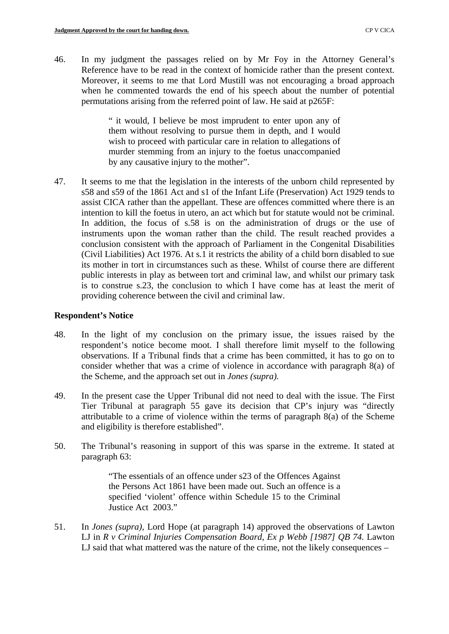46. In my judgment the passages relied on by Mr Foy in the Attorney General's Reference have to be read in the context of homicide rather than the present context. Moreover, it seems to me that Lord Mustill was not encouraging a broad approach when he commented towards the end of his speech about the number of potential permutations arising from the referred point of law. He said at p265F:

> " it would, I believe be most imprudent to enter upon any of them without resolving to pursue them in depth, and I would wish to proceed with particular care in relation to allegations of murder stemming from an injury to the foetus unaccompanied by any causative injury to the mother".

47. It seems to me that the legislation in the interests of the unborn child represented by s58 and s59 of the 1861 Act and s1 of the Infant Life (Preservation) Act 1929 tends to assist CICA rather than the appellant. These are offences committed where there is an intention to kill the foetus in utero, an act which but for statute would not be criminal. In addition, the focus of s.58 is on the administration of drugs or the use of instruments upon the woman rather than the child. The result reached provides a conclusion consistent with the approach of Parliament in the Congenital Disabilities (Civil Liabilities) Act 1976. At s.1 it restricts the ability of a child born disabled to sue its mother in tort in circumstances such as these. Whilst of course there are different public interests in play as between tort and criminal law, and whilst our primary task is to construe s.23, the conclusion to which I have come has at least the merit of providing coherence between the civil and criminal law.

#### **Respondent's Notice**

- the Scheme, and the approach set out in *Jones (supra).*  48. In the light of my conclusion on the primary issue, the issues raised by the respondent's notice become moot. I shall therefore limit myself to the following observations. If a Tribunal finds that a crime has been committed, it has to go on to consider whether that was a crime of violence in accordance with paragraph 8(a) of
- 49. In the present case the Upper Tribunal did not need to deal with the issue. The First Tier Tribunal at paragraph 55 gave its decision that CP's injury was "directly attributable to a crime of violence within the terms of paragraph 8(a) of the Scheme and eligibility is therefore established".
- 50. The Tribunal's reasoning in support of this was sparse in the extreme. It stated at paragraph 63:

"The essentials of an offence under s23 of the Offences Against the Persons Act 1861 have been made out. Such an offence is a specified 'violent' offence within Schedule 15 to the Criminal Justice Act 2003."

51. In *Jones (supra),* Lord Hope (at paragraph 14) approved the observations of Lawton LJ in *R v Criminal Injuries Compensation Board, Ex p Webb [1987] QB 74.* Lawton LJ said that what mattered was the nature of the crime, not the likely consequences –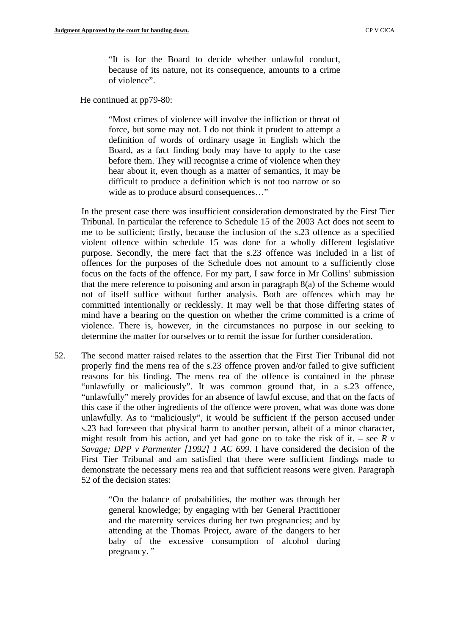"It is for the Board to decide whether unlawful conduct, because of its nature, not its consequence, amounts to a crime of violence".

He continued at pp79-80:

"Most crimes of violence will involve the infliction or threat of force, but some may not. I do not think it prudent to attempt a definition of words of ordinary usage in English which the Board, as a fact finding body may have to apply to the case before them. They will recognise a crime of violence when they hear about it, even though as a matter of semantics, it may be difficult to produce a definition which is not too narrow or so wide as to produce absurd consequences…"

In the present case there was insufficient consideration demonstrated by the First Tier Tribunal. In particular the reference to Schedule 15 of the 2003 Act does not seem to me to be sufficient; firstly, because the inclusion of the s.23 offence as a specified violent offence within schedule 15 was done for a wholly different legislative purpose. Secondly, the mere fact that the s.23 offence was included in a list of offences for the purposes of the Schedule does not amount to a sufficiently close focus on the facts of the offence. For my part, I saw force in Mr Collins' submission that the mere reference to poisoning and arson in paragraph 8(a) of the Scheme would not of itself suffice without further analysis. Both are offences which may be committed intentionally or recklessly. It may well be that those differing states of mind have a bearing on the question on whether the crime committed is a crime of violence. There is, however, in the circumstances no purpose in our seeking to determine the matter for ourselves or to remit the issue for further consideration.

52. The second matter raised relates to the assertion that the First Tier Tribunal did not properly find the mens rea of the s.23 offence proven and/or failed to give sufficient reasons for his finding. The mens rea of the offence is contained in the phrase "unlawfully or maliciously". It was common ground that, in a s.23 offence, "unlawfully" merely provides for an absence of lawful excuse, and that on the facts of this case if the other ingredients of the offence were proven, what was done was done unlawfully. As to "maliciously", it would be sufficient if the person accused under s.23 had foreseen that physical harm to another person, albeit of a minor character, might result from his action, and yet had gone on to take the risk of it. – see *R v Savage; DPP v Parmenter [1992] 1 AC 699*. I have considered the decision of the First Tier Tribunal and am satisfied that there were sufficient findings made to demonstrate the necessary mens rea and that sufficient reasons were given. Paragraph 52 of the decision states:

> "On the balance of probabilities, the mother was through her general knowledge; by engaging with her General Practitioner and the maternity services during her two pregnancies; and by attending at the Thomas Project, aware of the dangers to her baby of the excessive consumption of alcohol during pregnancy."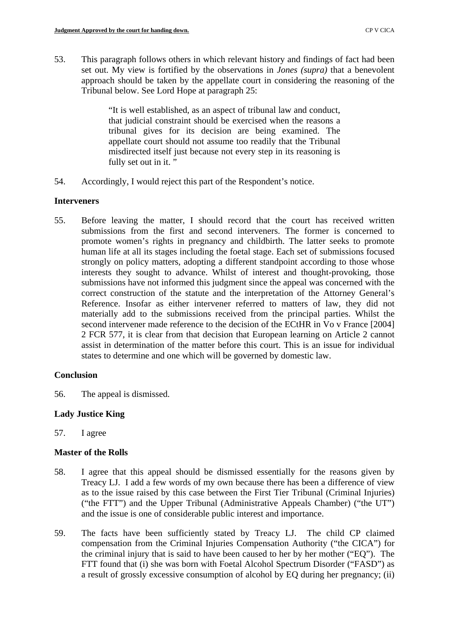53. This paragraph follows others in which relevant history and findings of fact had been set out. My view is fortified by the observations in *Jones (supra)* that a benevolent approach should be taken by the appellate court in considering the reasoning of the Tribunal below. See Lord Hope at paragraph 25:

> "It is well established, as an aspect of tribunal law and conduct, that judicial constraint should be exercised when the reasons a tribunal gives for its decision are being examined. The appellate court should not assume too readily that the Tribunal misdirected itself just because not every step in its reasoning is fully set out in it."

54. Accordingly, I would reject this part of the Respondent's notice.

#### **Interveners**

55. Before leaving the matter, I should record that the court has received written submissions from the first and second interveners. The former is concerned to promote women's rights in pregnancy and childbirth. The latter seeks to promote human life at all its stages including the foetal stage. Each set of submissions focused strongly on policy matters, adopting a different standpoint according to those whose interests they sought to advance. Whilst of interest and thought-provoking, those submissions have not informed this judgment since the appeal was concerned with the correct construction of the statute and the interpretation of the Attorney General's Reference. Insofar as either intervener referred to matters of law, they did not materially add to the submissions received from the principal parties. Whilst the second intervener made reference to the decision of the ECtHR in Vo v France [2004] 2 FCR 577, it is clear from that decision that European learning on Article 2 cannot assist in determination of the matter before this court. This is an issue for individual states to determine and one which will be governed by domestic law.

# **Conclusion**

56. The appeal is dismissed.

# **Lady Justice King**

57. I agree

# **Master of the Rolls**

- 58. I agree that this appeal should be dismissed essentially for the reasons given by Treacy LJ. I add a few words of my own because there has been a difference of view as to the issue raised by this case between the First Tier Tribunal (Criminal Injuries) ("the FTT") and the Upper Tribunal (Administrative Appeals Chamber) ("the UT") and the issue is one of considerable public interest and importance.
- 59. The facts have been sufficiently stated by Treacy LJ. The child CP claimed compensation from the Criminal Injuries Compensation Authority ("the CICA") for the criminal injury that is said to have been caused to her by her mother ("EQ"). The FTT found that (i) she was born with Foetal Alcohol Spectrum Disorder ("FASD") as a result of grossly excessive consumption of alcohol by EQ during her pregnancy; (ii)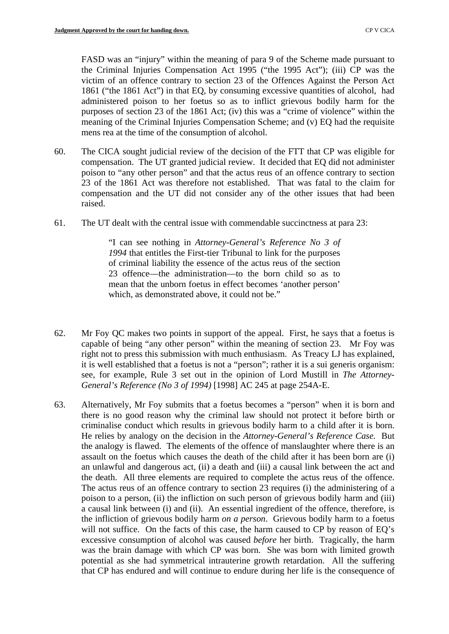FASD was an "injury" within the meaning of para 9 of the Scheme made pursuant to the Criminal Injuries Compensation Act 1995 ("the 1995 Act"); (iii) CP was the victim of an offence contrary to section 23 of the Offences Against the Person Act 1861 ("the 1861 Act") in that EQ, by consuming excessive quantities of alcohol, had administered poison to her foetus so as to inflict grievous bodily harm for the purposes of section 23 of the 1861 Act; (iv) this was a "crime of violence" within the meaning of the Criminal Injuries Compensation Scheme; and (v) EQ had the requisite mens rea at the time of the consumption of alcohol.

- 60. The CICA sought judicial review of the decision of the FTT that CP was eligible for compensation. The UT granted judicial review. It decided that EQ did not administer poison to "any other person" and that the actus reus of an offence contrary to section 23 of the 1861 Act was therefore not established. That was fatal to the claim for compensation and the UT did not consider any of the other issues that had been raised.
- 61. The UT dealt with the central issue with commendable succinctness at para 23:

"I can see nothing in *Attorney-General's Reference No 3 of 1994* that entitles the First-tier Tribunal to link for the purposes of criminal liability the essence of the actus reus of the section 23 offence—the administration—to the born child so as to mean that the unborn foetus in effect becomes 'another person' which, as demonstrated above, it could not be."

- 62. Mr Foy QC makes two points in support of the appeal. First, he says that a foetus is capable of being "any other person" within the meaning of section 23. Mr Foy was right not to press this submission with much enthusiasm. As Treacy LJ has explained, it is well established that a foetus is not a "person"; rather it is a sui generis organism: see, for example, Rule 3 set out in the opinion of Lord Mustill in *The Attorney-General's Reference (No 3 of 1994)* [1998] AC 245 at page 254A-E.
- 63. Alternatively, Mr Foy submits that a foetus becomes a "person" when it is born and there is no good reason why the criminal law should not protect it before birth or criminalise conduct which results in grievous bodily harm to a child after it is born. He relies by analogy on the decision in the *Attorney-General's Reference Case.* But the analogy is flawed. The elements of the offence of manslaughter where there is an assault on the foetus which causes the death of the child after it has been born are (i) an unlawful and dangerous act, (ii) a death and (iii) a causal link between the act and the death. All three elements are required to complete the actus reus of the offence. The actus reus of an offence contrary to section 23 requires (i) the administering of a poison to a person, (ii) the infliction on such person of grievous bodily harm and (iii) a causal link between (i) and (ii). An essential ingredient of the offence, therefore, is the infliction of grievous bodily harm *on a person*. Grievous bodily harm to a foetus will not suffice. On the facts of this case, the harm caused to CP by reason of EQ's excessive consumption of alcohol was caused *before* her birth. Tragically, the harm was the brain damage with which CP was born. She was born with limited growth potential as she had symmetrical intrauterine growth retardation. All the suffering that CP has endured and will continue to endure during her life is the consequence of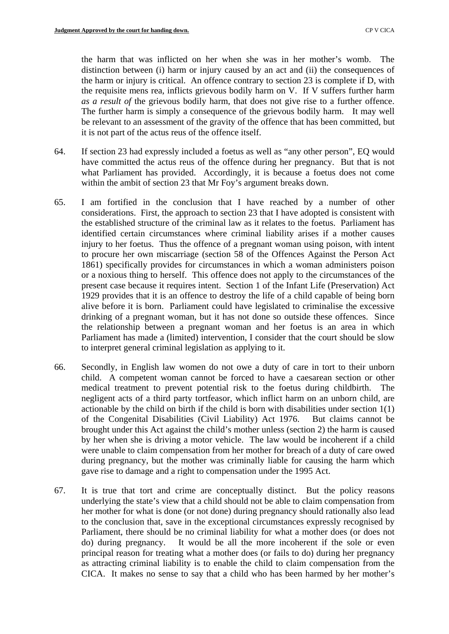it is not part of the actus reus of the offence itself. the harm that was inflicted on her when she was in her mother's womb. The distinction between (i) harm or injury caused by an act and (ii) the consequences of the harm or injury is critical. An offence contrary to section 23 is complete if D, with the requisite mens rea, inflicts grievous bodily harm on V. If V suffers further harm *as a result of* the grievous bodily harm, that does not give rise to a further offence. The further harm is simply a consequence of the grievous bodily harm. It may well be relevant to an assessment of the gravity of the offence that has been committed, but

- 64. If section 23 had expressly included a foetus as well as "any other person", EQ would have committed the actus reus of the offence during her pregnancy. But that is not what Parliament has provided. Accordingly, it is because a foetus does not come within the ambit of section 23 that Mr Foy's argument breaks down.
- 65. I am fortified in the conclusion that I have reached by a number of other considerations. First, the approach to section 23 that I have adopted is consistent with the established structure of the criminal law as it relates to the foetus. Parliament has identified certain circumstances where criminal liability arises if a mother causes injury to her foetus. Thus the offence of a pregnant woman using poison, with intent to procure her own miscarriage (section 58 of the Offences Against the Person Act 1861) specifically provides for circumstances in which a woman administers poison or a noxious thing to herself. This offence does not apply to the circumstances of the present case because it requires intent. Section 1 of the Infant Life (Preservation) Act 1929 provides that it is an offence to destroy the life of a child capable of being born alive before it is born. Parliament could have legislated to criminalise the excessive drinking of a pregnant woman, but it has not done so outside these offences. Since the relationship between a pregnant woman and her foetus is an area in which Parliament has made a (limited) intervention, I consider that the court should be slow to interpret general criminal legislation as applying to it.
- 66. Secondly, in English law women do not owe a duty of care in tort to their unborn child. A competent woman cannot be forced to have a caesarean section or other medical treatment to prevent potential risk to the foetus during childbirth. The negligent acts of a third party tortfeasor, which inflict harm on an unborn child, are actionable by the child on birth if the child is born with disabilities under section 1(1) of the Congenital Disabilities (Civil Liability) Act 1976. But claims cannot be brought under this Act against the child's mother unless (section 2) the harm is caused by her when she is driving a motor vehicle. The law would be incoherent if a child were unable to claim compensation from her mother for breach of a duty of care owed during pregnancy, but the mother was criminally liable for causing the harm which gave rise to damage and a right to compensation under the 1995 Act.
- 67. It is true that tort and crime are conceptually distinct. But the policy reasons underlying the state's view that a child should not be able to claim compensation from her mother for what is done (or not done) during pregnancy should rationally also lead to the conclusion that, save in the exceptional circumstances expressly recognised by Parliament, there should be no criminal liability for what a mother does (or does not do) during pregnancy. It would be all the more incoherent if the sole or even principal reason for treating what a mother does (or fails to do) during her pregnancy as attracting criminal liability is to enable the child to claim compensation from the CICA. It makes no sense to say that a child who has been harmed by her mother's